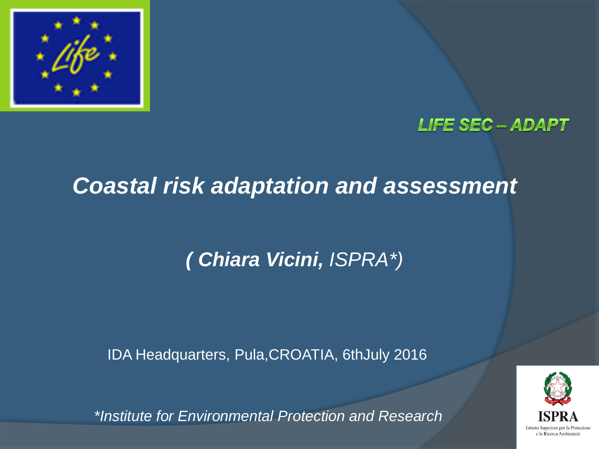

### **LIFE SEC - ADAPT**

### *Coastal risk adaptation and assessment*

### *( Chiara Vicini, ISPRA\*)*

IDA Headquarters, Pula,CROATIA, 6thJuly 2016

Istituto Superiore per la Protezione e la Ricerca Ambientale

*\*Institute for Environmental Protection and Research*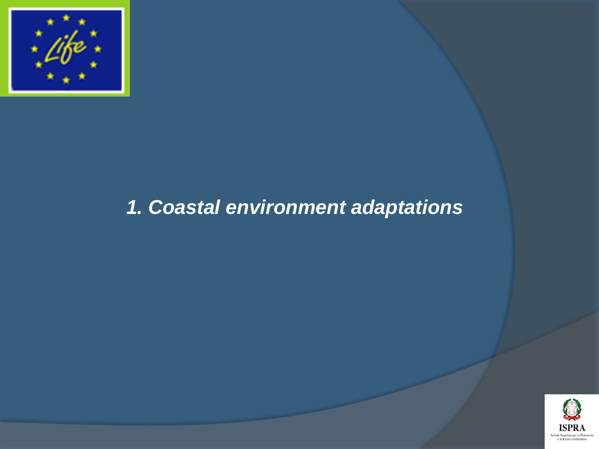

### *1. Coastal environment adaptations*

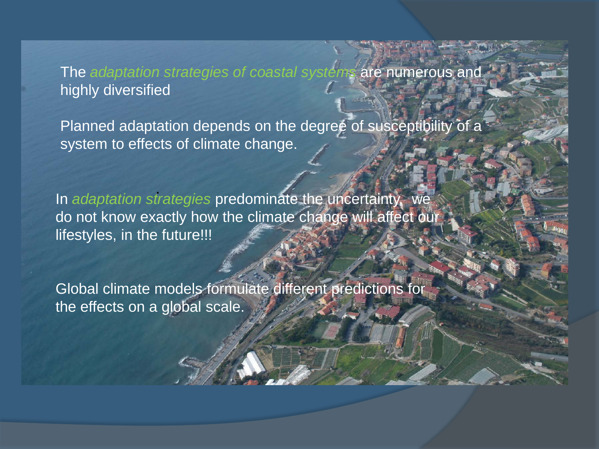#### The *adaptation strategies of coastal systems* are numerous and highly diversified

Planned adaptation depends on the degree of susceptibility of a system to effects of climate change.

. In *adaptation strategies* predominate the uncertainty, we do not know exactly how the climate change will affect our lifestyles, in the future!!!

Global climate models formulate different predictions for the effects on a global scale.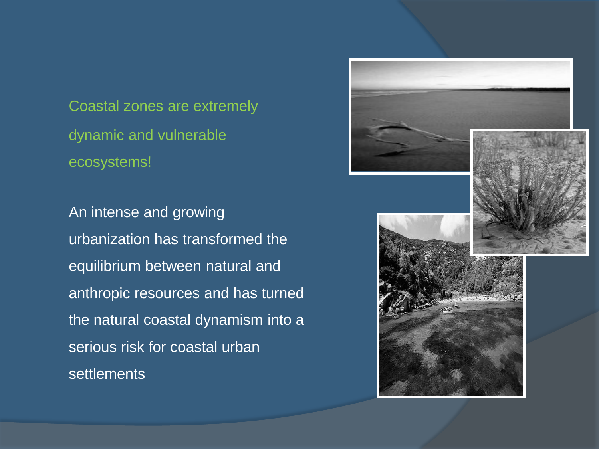Coastal zones are extremely dynamic and vulnerable ecosystems!

An intense and growing urbanization has transformed the equilibrium between natural and anthropic resources and has turned the natural coastal dynamism into a serious risk for coastal urban **settlements** 

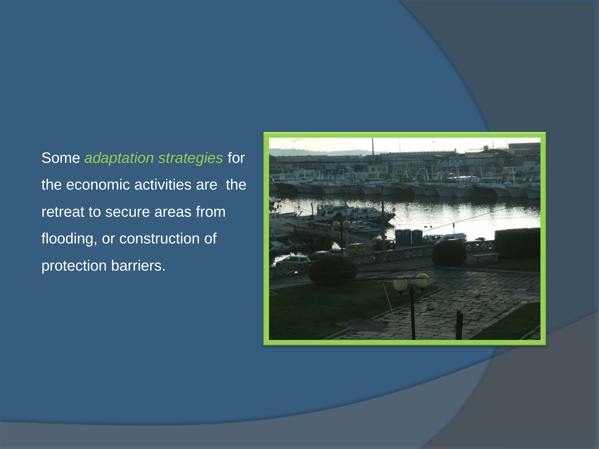Some *adaptation strategies* for the economic activities are the retreat to secure areas from flooding, or construction of protection barriers.

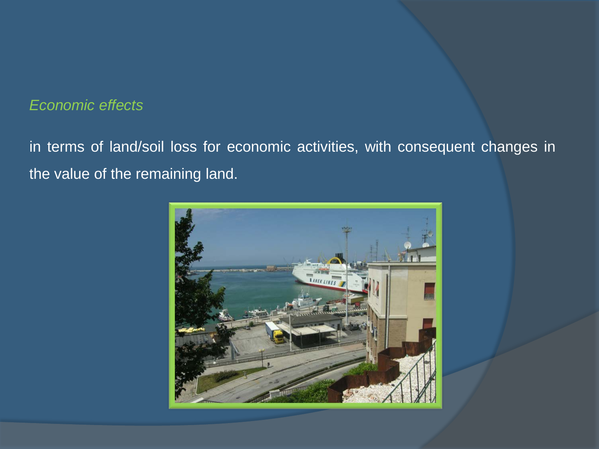#### *Economic effects*

in terms of land/soil loss for economic activities, with consequent changes in the value of the remaining land.

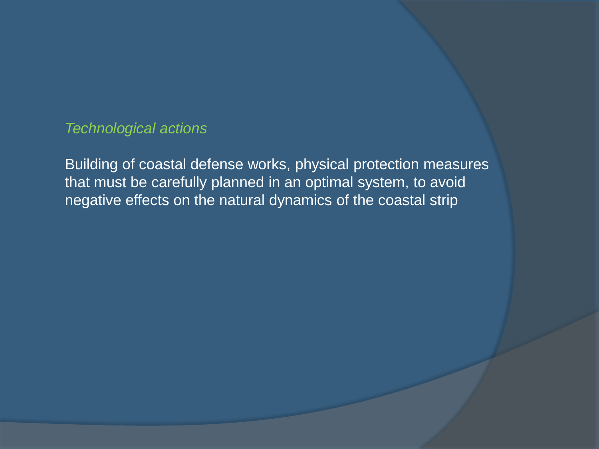*Technological actions*

Building of coastal defense works, physical protection measures that must be carefully planned in an optimal system, to avoid negative effects on the natural dynamics of the coastal strip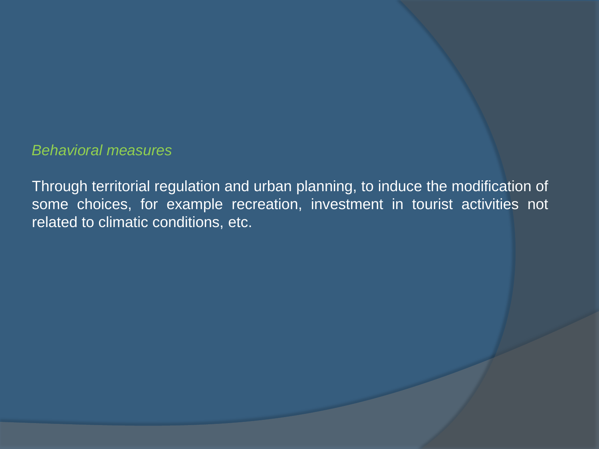#### *Behavioral measures*

Through territorial regulation and urban planning, to induce the modification of some choices, for example recreation, investment in tourist activities not related to climatic conditions, etc.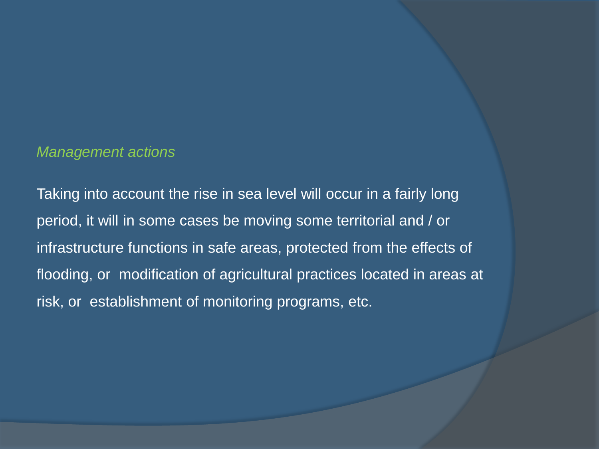#### *Management actions*

Taking into account the rise in sea level will occur in a fairly long period, it will in some cases be moving some territorial and / or infrastructure functions in safe areas, protected from the effects of flooding, or modification of agricultural practices located in areas at risk, or establishment of monitoring programs, etc.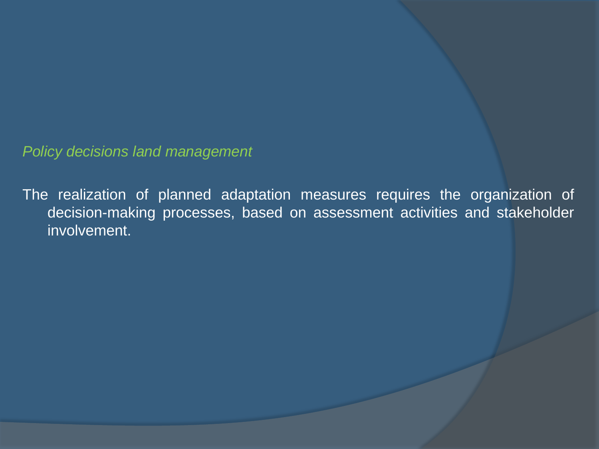*Policy decisions land management*

The realization of planned adaptation measures requires the organization of decision-making processes, based on assessment activities and stakeholder involvement.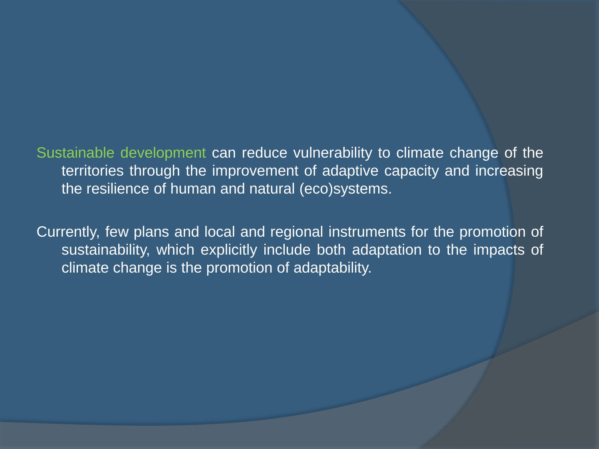Sustainable development can reduce vulnerability to climate change of the territories through the improvement of adaptive capacity and increasing the resilience of human and natural (eco)systems.

Currently, few plans and local and regional instruments for the promotion of sustainability, which explicitly include both adaptation to the impacts of climate change is the promotion of adaptability.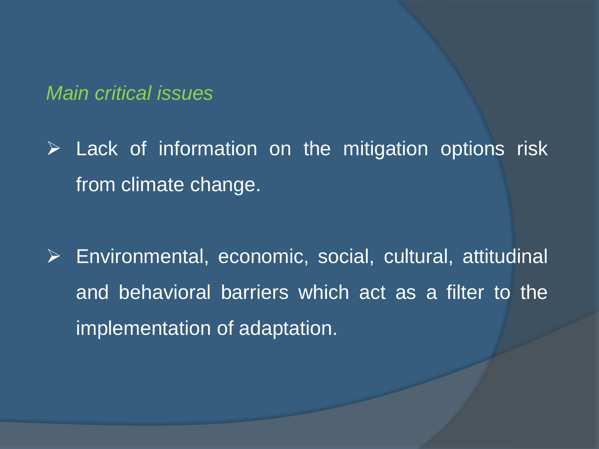*Main critical issues*

 $\triangleright$  Lack of information on the mitigation options risk from climate change.

 Environmental, economic, social, cultural, attitudinal and behavioral barriers which act as a filter to the implementation of adaptation.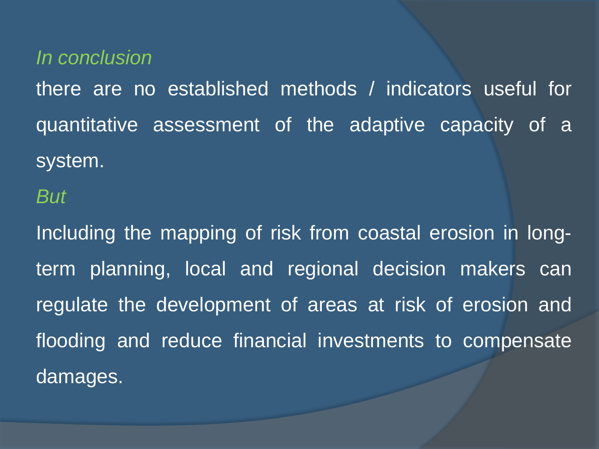*In conclusion*

there are no established methods / indicators useful for quantitative assessment of the adaptive capacity of a system.

*But*

Including the mapping of risk from coastal erosion in longterm planning, local and regional decision makers can regulate the development of areas at risk of erosion and flooding and reduce financial investments to compensate damages.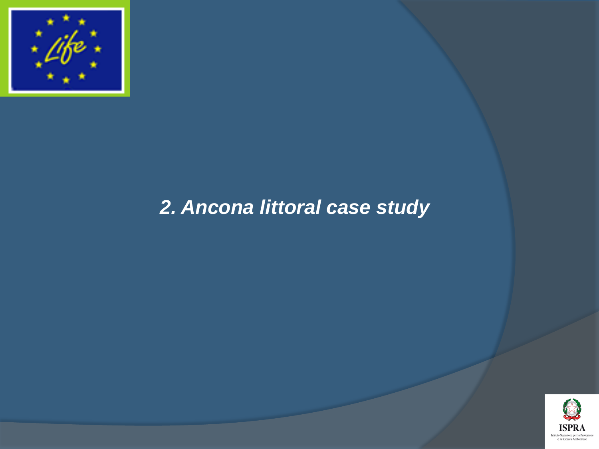

### *2. Ancona littoral case study*

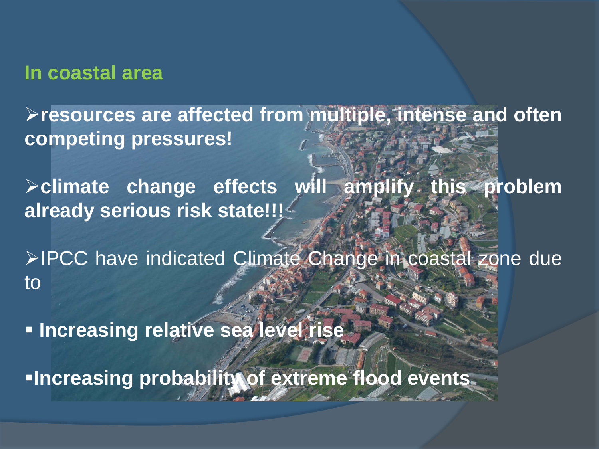#### **In coastal area**

**resources are affected from multiple, intense and often competing pressures!**

**climate change effects will amplify this problem already serious risk state!!!**

>IPCC have indicated Climate Change in coastal zone due to

**Increasing relative sea level rise**

**Increasing probability of extreme flood events**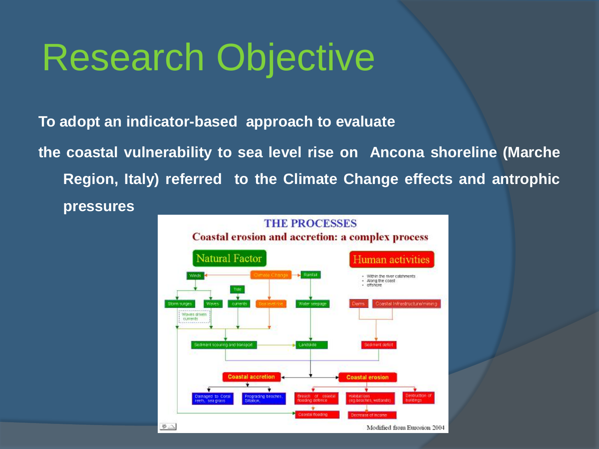# Research Objective

**To adopt an indicator-based approach to evaluate**

**the coastal vulnerability to sea level rise on Ancona shoreline (Marche Region, Italy) referred to the Climate Change effects and antrophic pressures**

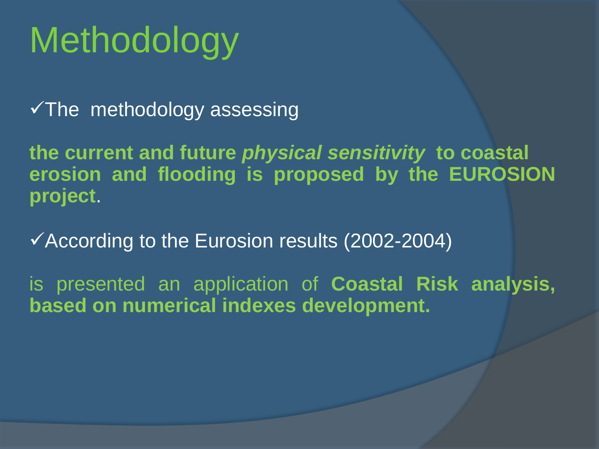# **Methodology**

 $\checkmark$ The methodology assessing

**the current and future** *physical sensitivity* **to coastal erosion and flooding is proposed by the EUROSION project**.

According to the Eurosion results (2002-2004)

is presented an application of **Coastal Risk analysis, based on numerical indexes development.**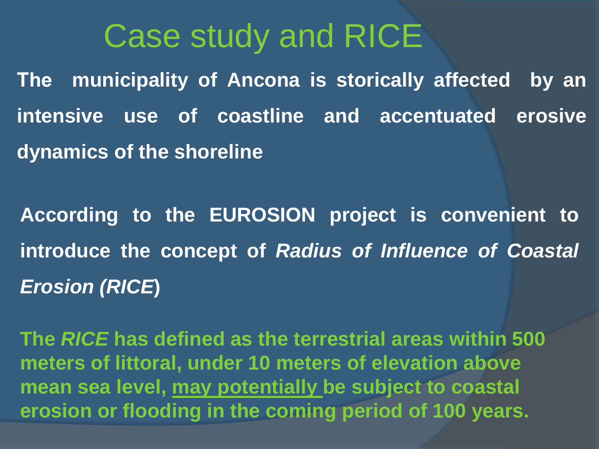### Case study and RICE

**The municipality of Ancona is storically affected by an intensive use of coastline and accentuated erosive dynamics of the shoreline**

**According to the EUROSION project is convenient to introduce the concept of** *Radius of Influence of Coastal Erosion (RICE***)**

**The** *RICE* **has defined as the terrestrial areas within 500 meters of littoral, under 10 meters of elevation above mean sea level, may potentially be subject to coastal erosion or flooding in the coming period of 100 years.**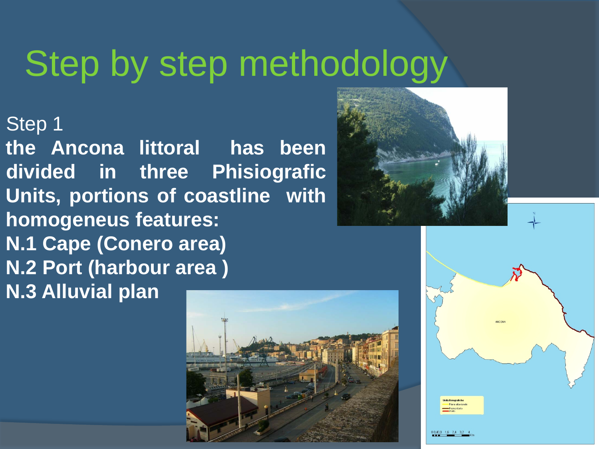## Step by step methodology

Step 1

**the Ancona littoral has been divided in three Phisiografic Units, portions of coastline with homogeneus features: N.1 Cape (Conero area) N.2 Port (harbour area ) N.3 Alluvial plan**





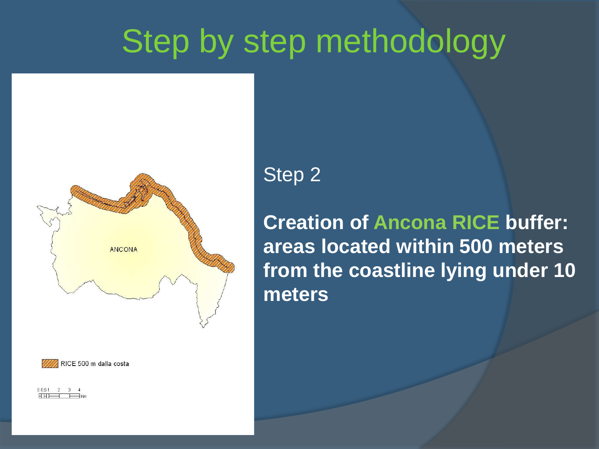### Step by step methodology





0051 2 3 4

### Step 2

**Creation of Ancona RICE buffer: areas located within 500 meters from the coastline lying under 10 meters**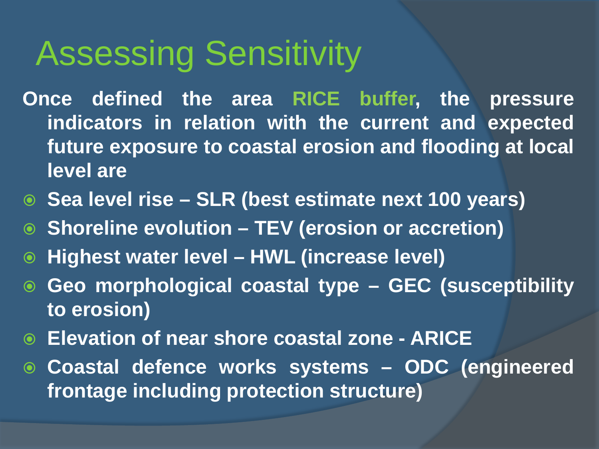### Assessing Sensitivity

- **Once defined the area RICE buffer, the pressure indicators in relation with the current and expected future exposure to coastal erosion and flooding at local level are**
- **Sea level rise – SLR (best estimate next 100 years)**
- **Shoreline evolution – TEV (erosion or accretion)**
- **Highest water level – HWL (increase level)**
- **Geo morphological coastal type – GEC (susceptibility to erosion)**
- **Elevation of near shore coastal zone - ARICE**
- **Coastal defence works systems – ODC (engineered frontage including protection structure)**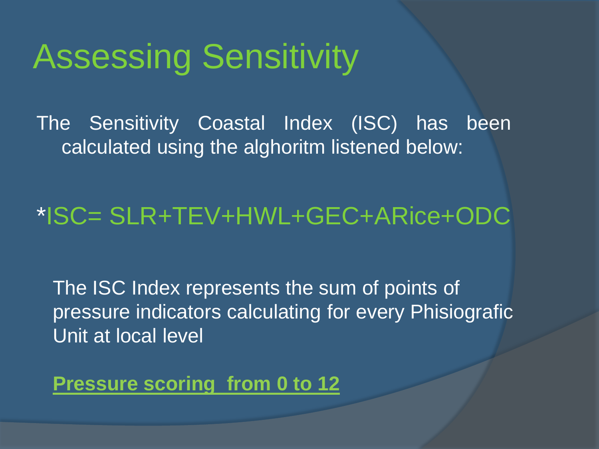### Assessing Sensitivity

The Sensitivity Coastal Index (ISC) has been calculated using the alghoritm listened below:

### \*ISC= SLR+TEV+HWL+GEC+ARice+ODC

The ISC Index represents the sum of points of pressure indicators calculating for every Phisiografic Unit at local level

**Pressure scoring from 0 to 12**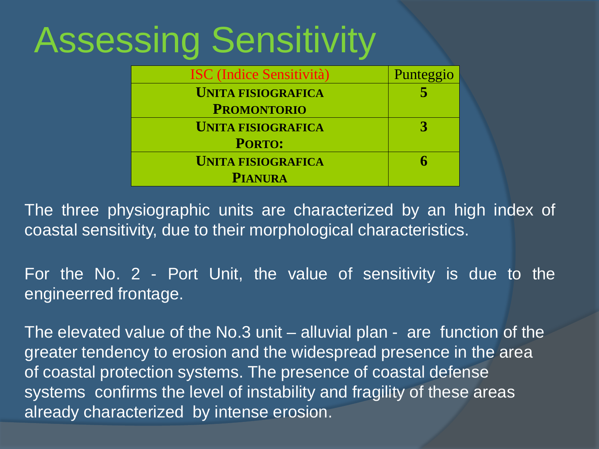# Assessing Sensitivity

| <b>ISC</b> (Indice Sensitività) | Punteggio |
|---------------------------------|-----------|
| <b>UNITA FISIOGRAFICA</b>       |           |
| <b>PROMONTORIO</b>              |           |
| <b>UNITA FISIOGRAFICA</b>       |           |
| <b>PORTO:</b>                   |           |
| <b>UNITA FISIOGRAFICA</b>       |           |
| <b>PIANURA</b>                  |           |

The three physiographic units are characterized by an high index of coastal sensitivity, due to their morphological characteristics.

For the No. 2 - Port Unit, the value of sensitivity is due to the engineerred frontage.

The elevated value of the No.3 unit – alluvial plan - are function of the greater tendency to erosion and the widespread presence in the area of coastal protection systems. The presence of coastal defense systems confirms the level of instability and fragility of these areas already characterized by intense erosion.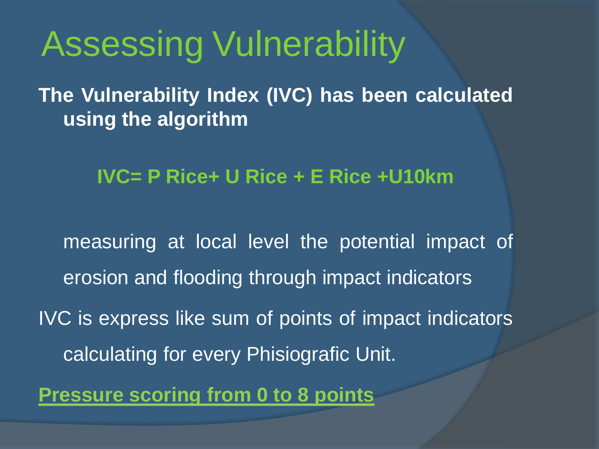## Assessing Vulnerability

**The Vulnerability Index (IVC) has been calculated using the algorithm**

**IVC= P Rice+ U Rice + E Rice +U10km**

measuring at local level the potential impact of erosion and flooding through impact indicators IVC is express like sum of points of impact indicators calculating for every Phisiografic Unit.

**Pressure scoring from 0 to 8 points**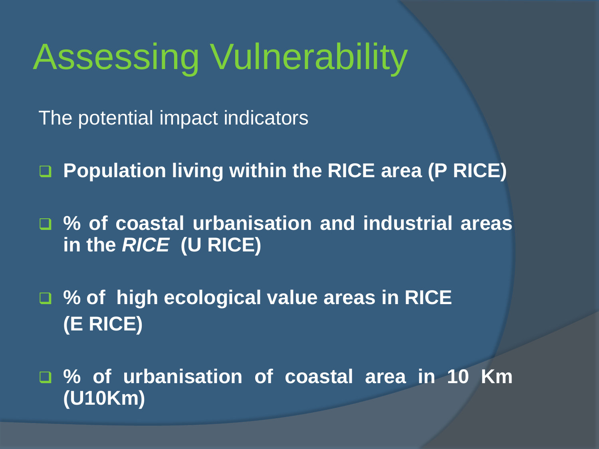## Assessing Vulnerability

The potential impact indicators

**Population living within the RICE area (P RICE)**

 **% of coastal urbanisation and industrial areas in the** *RICE* **(U RICE)**

 **% of high ecological value areas in RICE (E RICE)**

 **% of urbanisation of coastal area in 10 Km (U10Km)**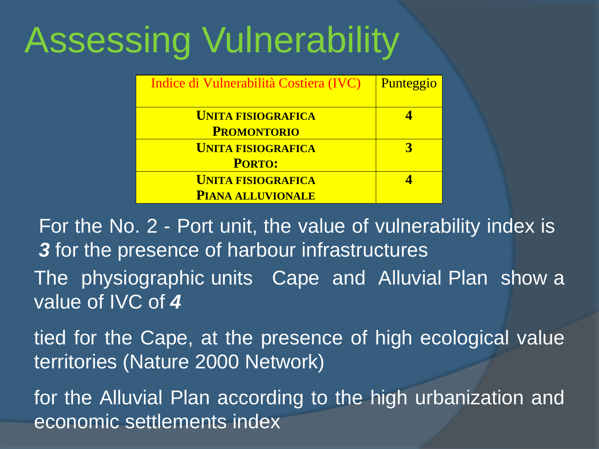# Assessing Vulnerability

| Indice di Vulnerabilità Costiera (IVC) | Punteggio |
|----------------------------------------|-----------|
| <b>UNITA FISIOGRAFICA</b>              |           |
| <b>PROMONTORIO</b>                     |           |
| <b>UNITA FISIOGRAFICA</b>              |           |
| <b>PORTO:</b>                          |           |
| <b>UNITA FISIOGRAFICA</b>              |           |
| <b>PIANA ALLUVIONALE</b>               |           |

For the No. 2 - Port unit, the value of vulnerability index is *3* for the presence of harbour infrastructures The physiographic units Cape and Alluvial Plan show a value of IVC of *4*

tied for the Cape, at the presence of high ecological value territories (Nature 2000 Network)

for the Alluvial Plan according to the high urbanization and economic settlements index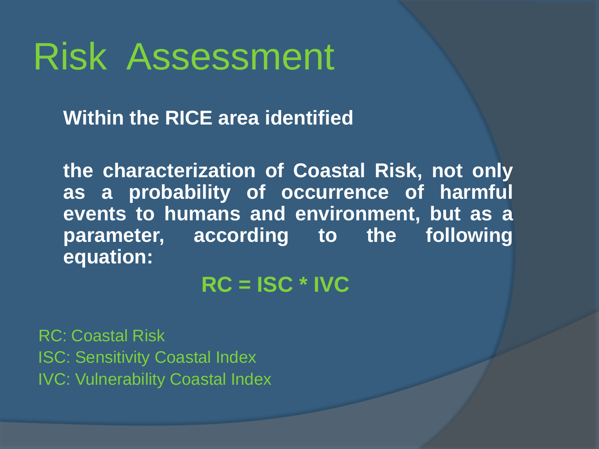### Risk Assessment

**Within the RICE area identified**

**the characterization of Coastal Risk, not only as a probability of occurrence of harmful events to humans and environment, but as a parameter, according to the following equation:**

**RC = ISC \* IVC**

RC: Coastal Risk ISC: Sensitivity Coastal Index IVC: Vulnerability Coastal Index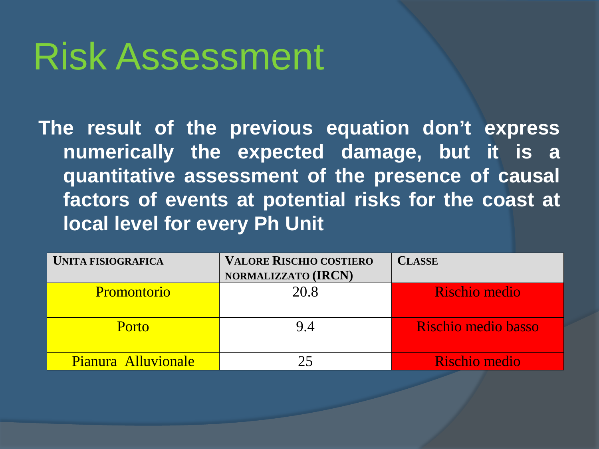## Risk Assessment

**The result of the previous equation don't express numerically the expected damage, but it is a quantitative assessment of the presence of causal factors of events at potential risks for the coast at local level for every Ph Unit**

| <b>UNITA FISIOGRAFICA</b> | <b>VALORE RISCHIO COSTIERO</b> | <b>CLASSE</b>       |
|---------------------------|--------------------------------|---------------------|
|                           | NORMALIZZATO (IRCN)            |                     |
| <b>Promontorio</b>        | 20.8                           | Rischio medio       |
|                           |                                |                     |
| Porto                     | 94                             | Rischio medio basso |
|                           |                                |                     |
| Pianura Alluvionale       |                                | Rischio medio       |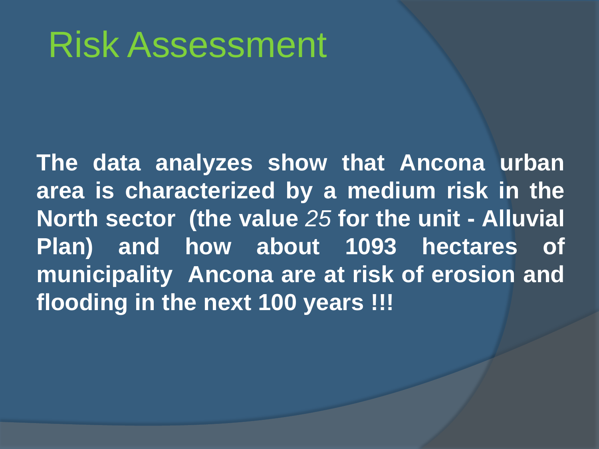## Risk Assessment

**The data analyzes show that Ancona urban area is characterized by a medium risk in the North sector (the value** *25* **for the unit - Alluvial Plan) and how about 1093 hectares of municipality Ancona are at risk of erosion and flooding in the next 100 years !!!**